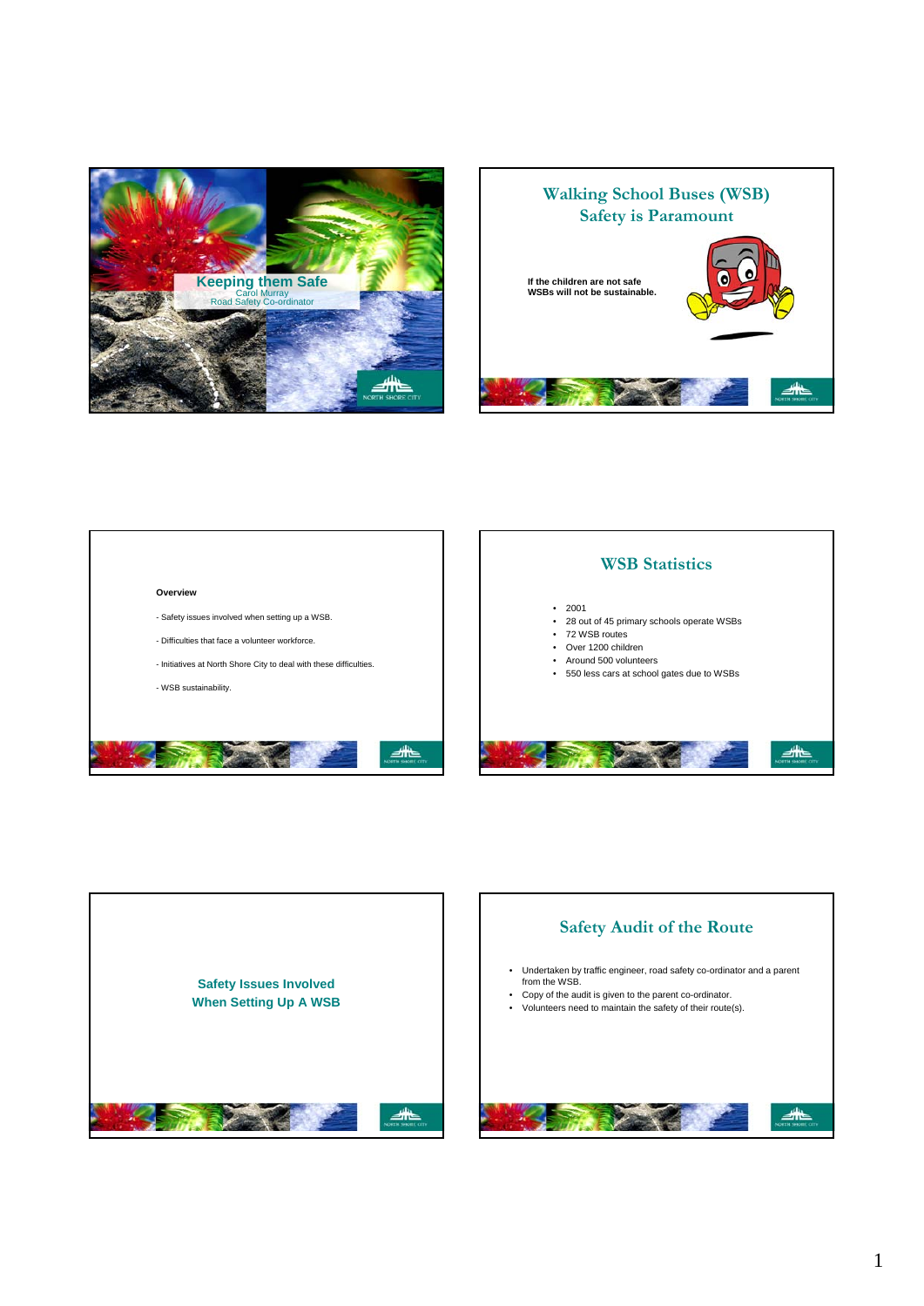



#### **Overview**

- Safety issues involved when setting up a WSB.
- Difficulties that face a volunteer workforce.
- Initiatives at North Shore City to deal with these difficulties.
- WSB sustainability.



## **WSB Statistics** • 2001 • 28 out of 45 primary schools operate WSBs • 72 WSB routes • Over 1200 children • Around 500 volunteers • 550 less cars at school gates due to WSBs ◢



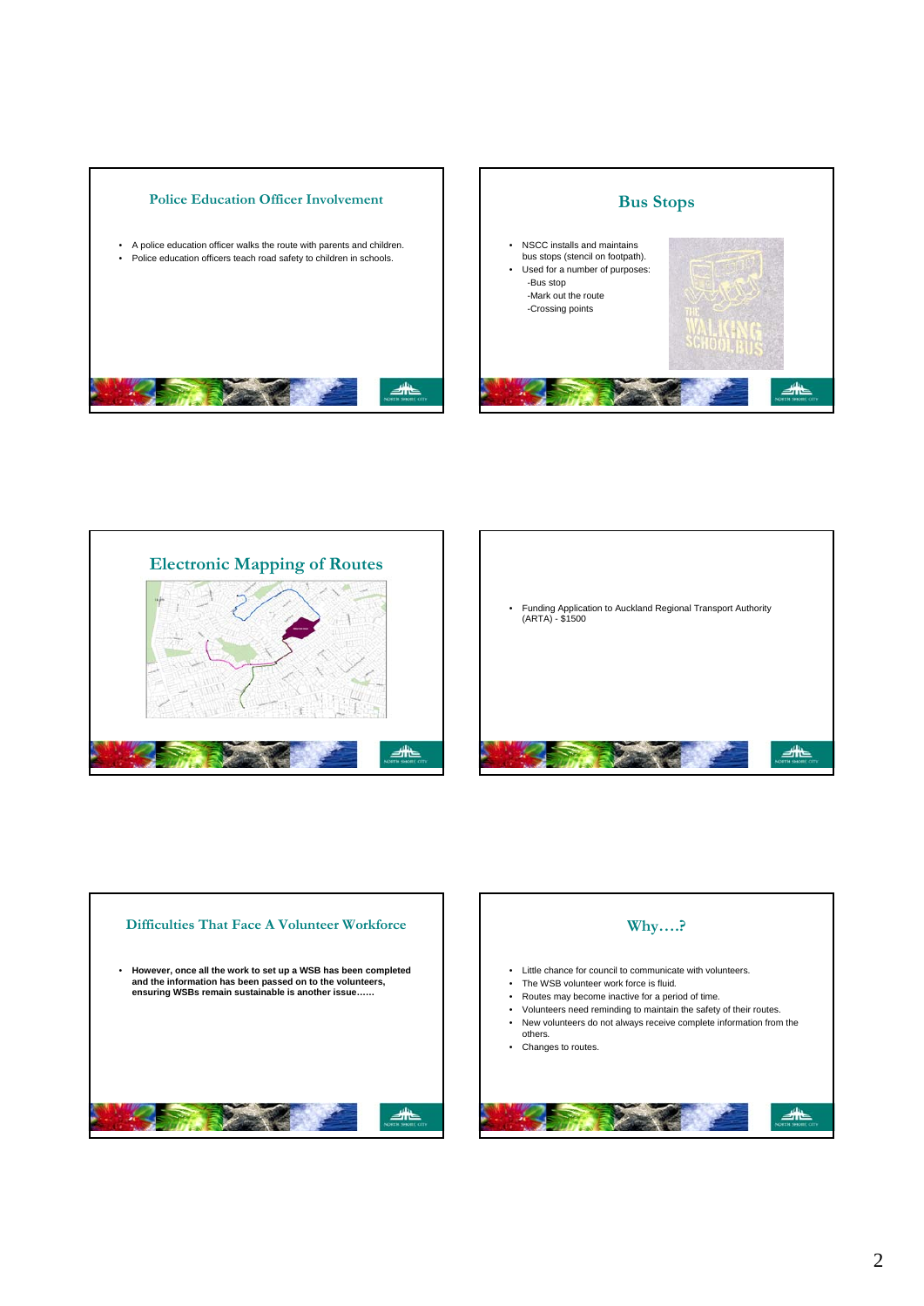









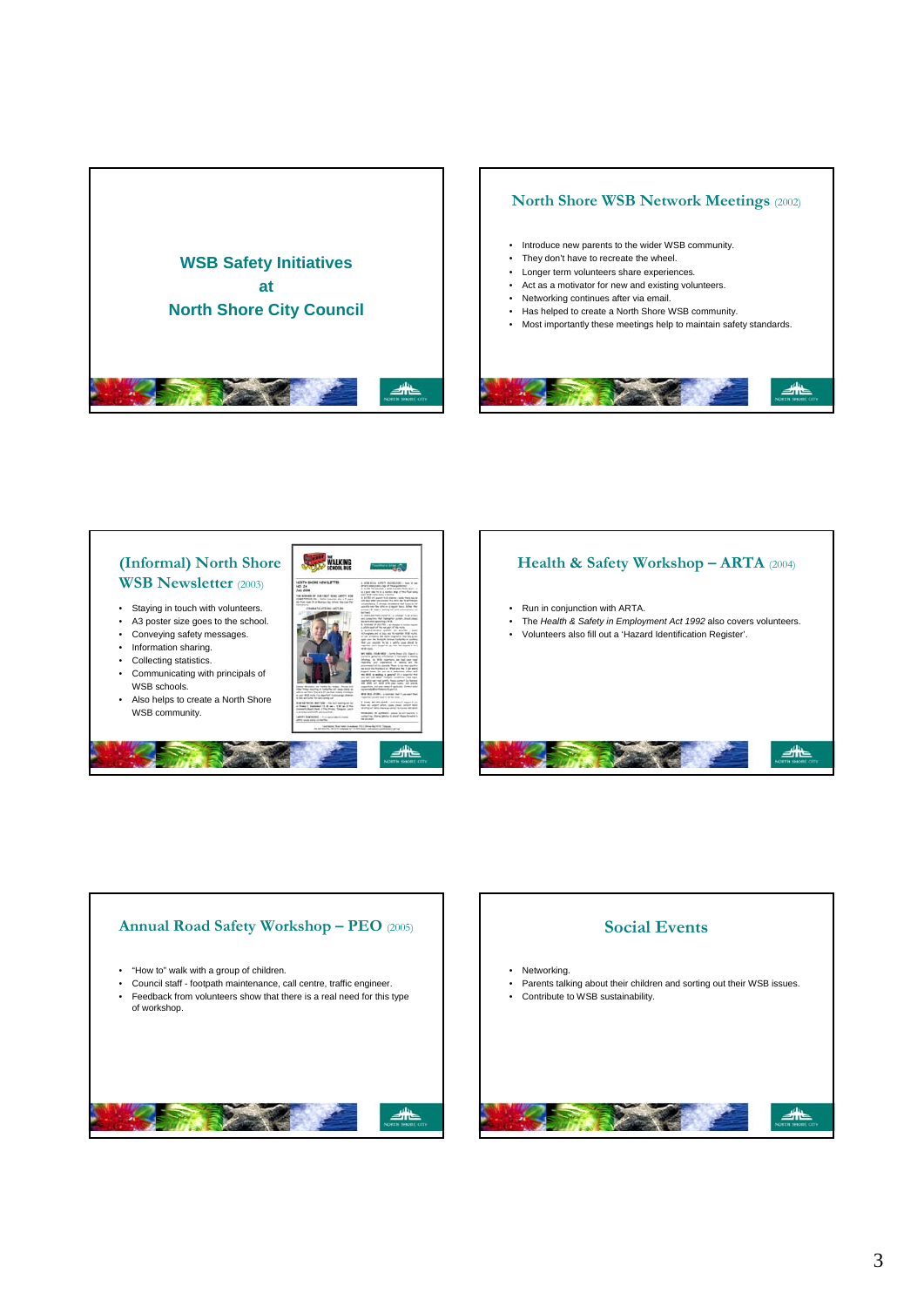

#### **North Shore WSB Network Meetings** (2002) • Introduce new parents to the wider WSB community. • They don't have to recreate the wheel. • Longer term volunteers share experiences*.* • Act as a motivator for new and existing volunteers. • Networking continues after via email. • Has helped to create a North Shore WSB community. • Most importantly these meetings help to maintain safety standards. ◢



# **Health & Safety Workshop – ARTA** (2004) • Run in conjunction with ARTA. • The *Health & Safety in Employment Act 1992* also covers volunteers. • Volunteers also fill out a 'Hazard Identification Register'. ◢



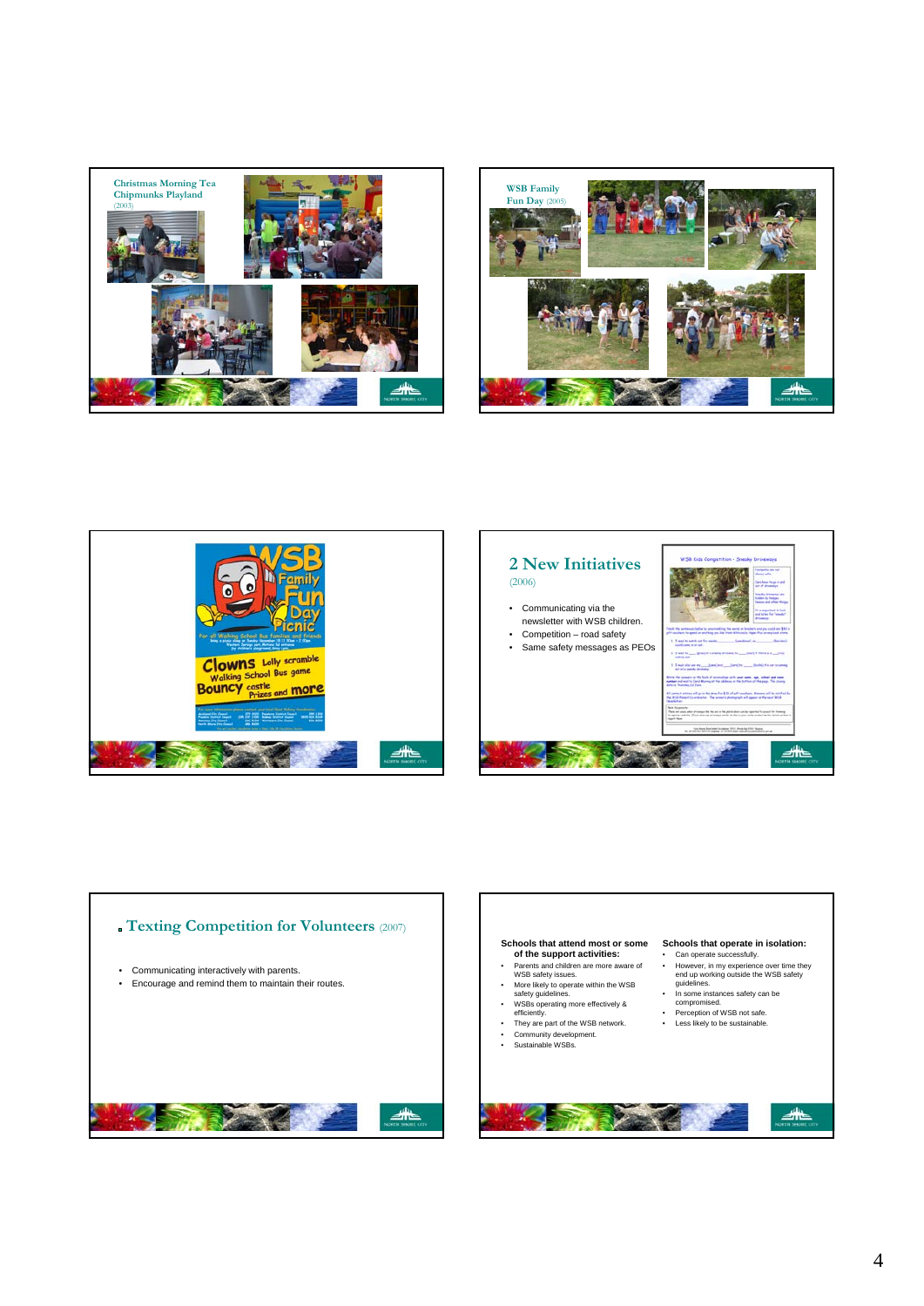